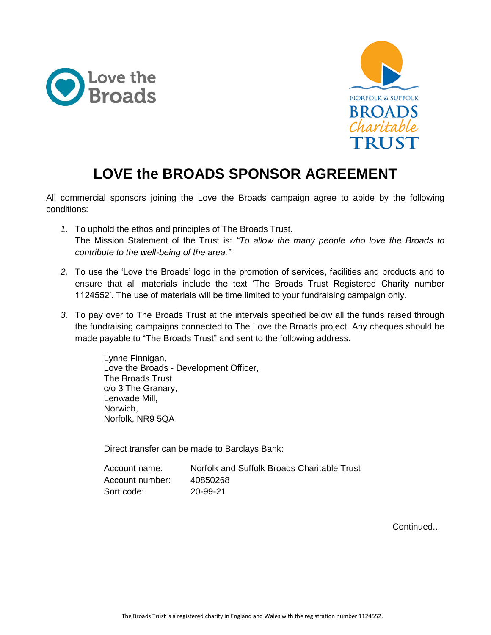



## **LOVE the BROADS SPONSOR AGREEMENT**

All commercial sponsors joining the Love the Broads campaign agree to abide by the following conditions:

- *1.* To uphold the ethos and principles of The Broads Trust. The Mission Statement of the Trust is: *"To allow the many people who love the Broads to contribute to the well-being of the area."*
- *2.* To use the 'Love the Broads' logo in the promotion of services, facilities and products and to ensure that all materials include the text 'The Broads Trust Registered Charity number 1124552'. The use of materials will be time limited to your fundraising campaign only.
- *3.* To pay over to The Broads Trust at the intervals specified below all the funds raised through the fundraising campaigns connected to The Love the Broads project. Any cheques should be made payable to "The Broads Trust" and sent to the following address.

Lynne Finnigan, Love the Broads - Development Officer, The Broads Trust c/o 3 The Granary, Lenwade Mill, Norwich, Norfolk, NR9 5QA

Direct transfer can be made to Barclays Bank:

| Account name:   | Norfolk and Suffolk Broads Charitable Trust |
|-----------------|---------------------------------------------|
| Account number: | 40850268                                    |
| Sort code:      | 20-99-21                                    |

Continued...